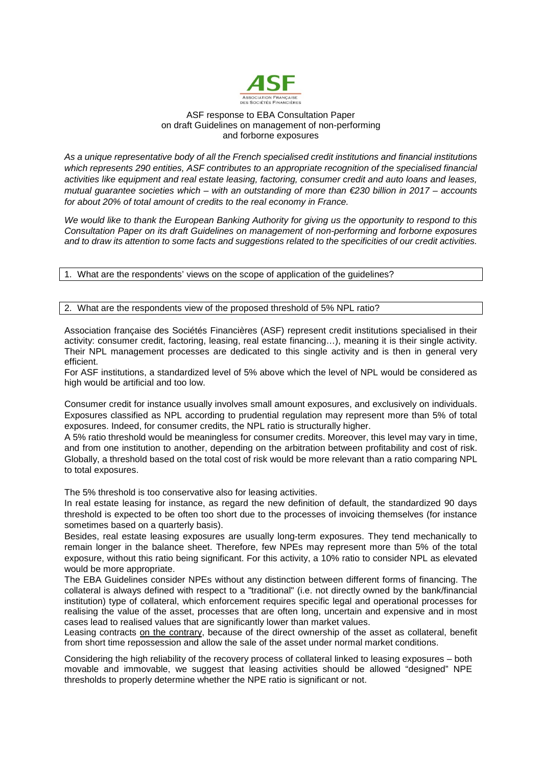

## ASF response to EBA Consultation Paper on draft Guidelines on management of non-performing and forborne exposures

*As a unique representative body of all the French specialised credit institutions and financial institutions which represents 290 entities, ASF contributes to an appropriate recognition of the specialised financial activities like equipment and real estate leasing, factoring, consumer credit and auto loans and leases, mutual guarantee societies which – with an outstanding of more than €230 billion in 2017 – accounts for about 20% of total amount of credits to the real economy in France.*

*We would like to thank the European Banking Authority for giving us the opportunity to respond to this Consultation Paper on its draft Guidelines on management of non-performing and forborne exposures and to draw its attention to some facts and suggestions related to the specificities of our credit activities.* 

1. What are the respondents' views on the scope of application of the guidelines?

## 2. What are the respondents view of the proposed threshold of 5% NPL ratio?

Association française des Sociétés Financières (ASF) represent credit institutions specialised in their activity: consumer credit, factoring, leasing, real estate financing…), meaning it is their single activity. Their NPL management processes are dedicated to this single activity and is then in general very efficient.

For ASF institutions, a standardized level of 5% above which the level of NPL would be considered as high would be artificial and too low.

Consumer credit for instance usually involves small amount exposures, and exclusively on individuals. Exposures classified as NPL according to prudential regulation may represent more than 5% of total exposures. Indeed, for consumer credits, the NPL ratio is structurally higher.

A 5% ratio threshold would be meaningless for consumer credits. Moreover, this level may vary in time, and from one institution to another, depending on the arbitration between profitability and cost of risk. Globally, a threshold based on the total cost of risk would be more relevant than a ratio comparing NPL to total exposures.

The 5% threshold is too conservative also for leasing activities.

In real estate leasing for instance, as regard the new definition of default, the standardized 90 days threshold is expected to be often too short due to the processes of invoicing themselves (for instance sometimes based on a quarterly basis).

Besides, real estate leasing exposures are usually long-term exposures. They tend mechanically to remain longer in the balance sheet. Therefore, few NPEs may represent more than 5% of the total exposure, without this ratio being significant. For this activity, a 10% ratio to consider NPL as elevated would be more appropriate.

The EBA Guidelines consider NPEs without any distinction between different forms of financing. The collateral is always defined with respect to a "traditional" (i.e. not directly owned by the bank/financial institution) type of collateral, which enforcement requires specific legal and operational processes for realising the value of the asset, processes that are often long, uncertain and expensive and in most cases lead to realised values that are significantly lower than market values.

Leasing contracts on the contrary, because of the direct ownership of the asset as collateral, benefit from short time repossession and allow the sale of the asset under normal market conditions.

Considering the high reliability of the recovery process of collateral linked to leasing exposures – both movable and immovable, we suggest that leasing activities should be allowed "designed" NPE thresholds to properly determine whether the NPE ratio is significant or not.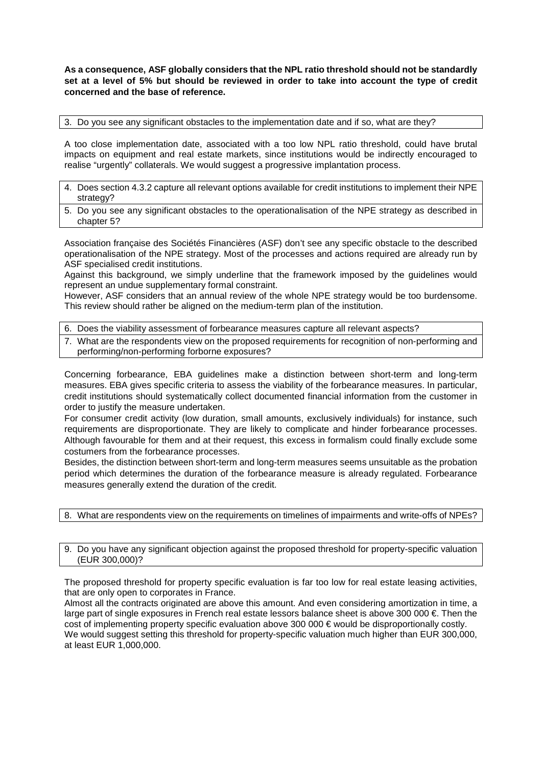**As a consequence, ASF globally considers that the NPL ratio threshold should not be standardly set at a level of 5% but should be reviewed in order to take into account the type of credit concerned and the base of reference.**

3. Do you see any significant obstacles to the implementation date and if so, what are they?

A too close implementation date, associated with a too low NPL ratio threshold, could have brutal impacts on equipment and real estate markets, since institutions would be indirectly encouraged to realise "urgently" collaterals. We would suggest a progressive implantation process.

- 4. Does section 4.3.2 capture all relevant options available for credit institutions to implement their NPE strategy?
- 5. Do you see any significant obstacles to the operationalisation of the NPE strategy as described in chapter 5?

Association française des Sociétés Financières (ASF) don't see any specific obstacle to the described operationalisation of the NPE strategy. Most of the processes and actions required are already run by ASF specialised credit institutions.

Against this background, we simply underline that the framework imposed by the guidelines would represent an undue supplementary formal constraint.

However, ASF considers that an annual review of the whole NPE strategy would be too burdensome. This review should rather be aligned on the medium-term plan of the institution.

6. Does the viability assessment of forbearance measures capture all relevant aspects?

7. What are the respondents view on the proposed requirements for recognition of non-performing and performing/non-performing forborne exposures?

Concerning forbearance, EBA guidelines make a distinction between short-term and long-term measures. EBA gives specific criteria to assess the viability of the forbearance measures. In particular, credit institutions should systematically collect documented financial information from the customer in order to justify the measure undertaken.

For consumer credit activity (low duration, small amounts, exclusively individuals) for instance, such requirements are disproportionate. They are likely to complicate and hinder forbearance processes. Although favourable for them and at their request, this excess in formalism could finally exclude some costumers from the forbearance processes.

Besides, the distinction between short-term and long-term measures seems unsuitable as the probation period which determines the duration of the forbearance measure is already regulated. Forbearance measures generally extend the duration of the credit.

8. What are respondents view on the requirements on timelines of impairments and write-offs of NPEs?

9. Do you have any significant objection against the proposed threshold for property-specific valuation (EUR 300,000)?

The proposed threshold for property specific evaluation is far too low for real estate leasing activities, that are only open to corporates in France.

Almost all the contracts originated are above this amount. And even considering amortization in time, a large part of single exposures in French real estate lessors balance sheet is above 300 000 €. Then the cost of implementing property specific evaluation above 300 000 € would be disproportionally costly. We would suggest setting this threshold for property-specific valuation much higher than EUR 300,000, at least EUR 1,000,000.